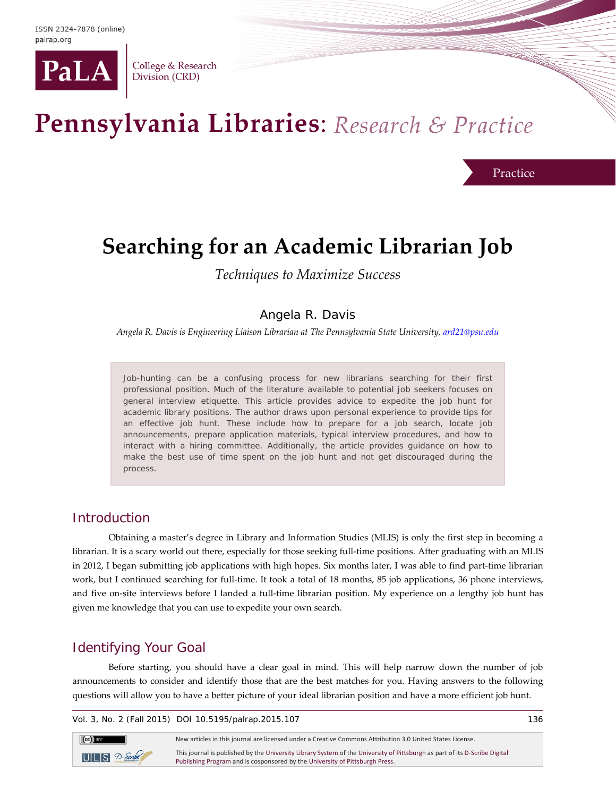

College & Research Division (CRD)

# Pennsylvania Libraries: Research & Practice

Practice

# **Searching for an Academic Librarian Job**

*Techniques to Maximize Success*

### Angela R. Davis

*Angela R. Davis is Engineering Liaison Librarian at The Pennsylvania State University[, ard21@psu.edu](mailto:ard21@psu.edu)* 

Job-hunting can be a confusing process for new librarians searching for their first professional position. Much of the literature available to potential job seekers focuses on general interview etiquette. This article provides advice to expedite the job hunt for academic library positions. The author draws upon personal experience to provide tips for an effective job hunt. These include how to prepare for a job search, locate job announcements, prepare application materials, typical interview procedures, and how to interact with a hiring committee. Additionally, the article provides guidance on how to make the best use of time spent on the job hunt and not get discouraged during the process.

#### **Introduction**

 $\left(\mathrm{cc}\right)$  BY

Obtaining a master's degree in Library and Information Studies (MLIS) is only the first step in becoming a librarian. It is a scary world out there, especially for those seeking full-time positions. After graduating with an MLIS in 2012, I began submitting job applications with high hopes. Six months later, I was able to find part-time librarian work, but I continued searching for full-time. It took a total of 18 months, 85 job applications, 36 phone interviews, and five on-site interviews before I landed a full-time librarian position. My experience on a lengthy job hunt has given me knowledge that you can use to expedite your own search.

# Identifying Your Goal

Before starting, you should have a clear goal in mind. This will help narrow down the number of job announcements to consider and identify those that are the best matches for you. Having answers to the following questions will allow you to have a better picture of your ideal librarian position and have a more efficient job hunt.

Vol. 3, No. 2 (Fall 2015) DOI 10.5195/palrap.2015.107 136

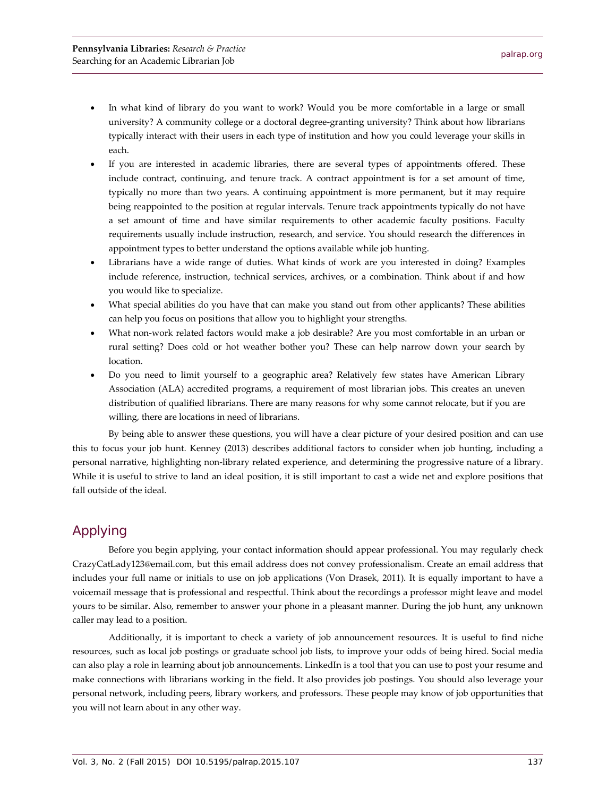- In what kind of library do you want to work? Would you be more comfortable in a large or small university? A community college or a doctoral degree-granting university? Think about how librarians typically interact with their users in each type of institution and how you could leverage your skills in each.
- If you are interested in academic libraries, there are several types of appointments offered. These include contract, continuing, and tenure track. A contract appointment is for a set amount of time, typically no more than two years. A continuing appointment is more permanent, but it may require being reappointed to the position at regular intervals. Tenure track appointments typically do not have a set amount of time and have similar requirements to other academic faculty positions. Faculty requirements usually include instruction, research, and service. You should research the differences in appointment types to better understand the options available while job hunting.
- Librarians have a wide range of duties. What kinds of work are you interested in doing? Examples include reference, instruction, technical services, archives, or a combination. Think about if and how you would like to specialize.
- What special abilities do you have that can make you stand out from other applicants? These abilities can help you focus on positions that allow you to highlight your strengths.
- What non-work related factors would make a job desirable? Are you most comfortable in an urban or rural setting? Does cold or hot weather bother you? These can help narrow down your search by location.
- Do you need to limit yourself to a geographic area? Relatively few states have American Library Association (ALA) accredited programs, a requirement of most librarian jobs. This creates an uneven distribution of qualified librarians. There are many reasons for why some cannot relocate, but if you are willing, there are locations in need of librarians.

By being able to answer these questions, you will have a clear picture of your desired position and can use this to focus your job hunt. Kenney (2013) describes additional factors to consider when job hunting, including a personal narrative, highlighting non-library related experience, and determining the progressive nature of a library. While it is useful to strive to land an ideal position, it is still important to cast a wide net and explore positions that fall outside of the ideal.

# Applying

Before you begin applying, your contact information should appear professional. You may regularly check CrazyCatLady123@email.com, but this email address does not convey professionalism. Create an email address that includes your full name or initials to use on job applications (Von Drasek, 2011). It is equally important to have a voicemail message that is professional and respectful. Think about the recordings a professor might leave and model yours to be similar. Also, remember to answer your phone in a pleasant manner. During the job hunt, any unknown caller may lead to a position.

Additionally, it is important to check a variety of job announcement resources. It is useful to find niche resources, such as local job postings or graduate school job lists, to improve your odds of being hired. Social media can also play a role in learning about job announcements. LinkedIn is a tool that you can use to post your resume and make connections with librarians working in the field. It also provides job postings. You should also leverage your personal network, including peers, library workers, and professors. These people may know of job opportunities that you will not learn about in any other way.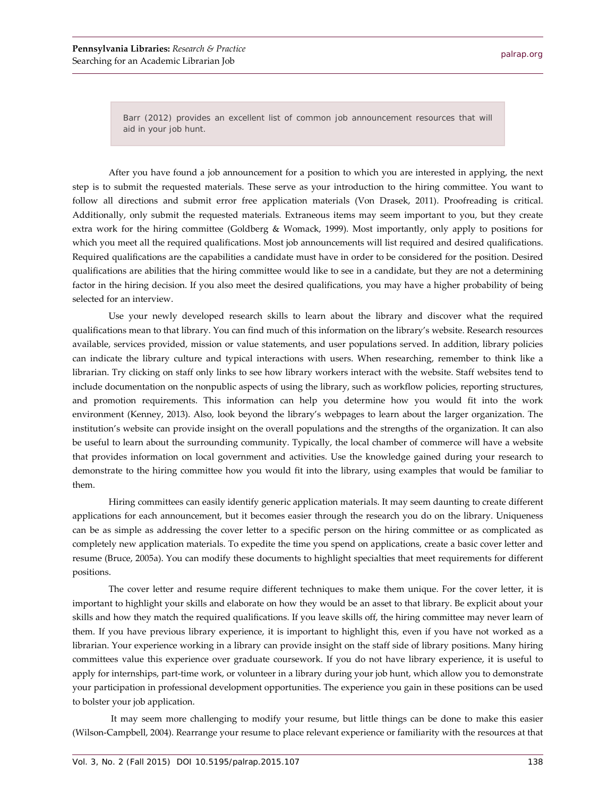Barr (2012) provides an excellent list of common job announcement resources that will aid in your job hunt.

After you have found a job announcement for a position to which you are interested in applying, the next step is to submit the requested materials. These serve as your introduction to the hiring committee. You want to follow all directions and submit error free application materials (Von Drasek, 2011). Proofreading is critical. Additionally, only submit the requested materials. Extraneous items may seem important to you, but they create extra work for the hiring committee (Goldberg & Womack, 1999). Most importantly, only apply to positions for which you meet all the required qualifications. Most job announcements will list required and desired qualifications. Required qualifications are the capabilities a candidate must have in order to be considered for the position. Desired qualifications are abilities that the hiring committee would like to see in a candidate, but they are not a determining factor in the hiring decision. If you also meet the desired qualifications, you may have a higher probability of being selected for an interview.

Use your newly developed research skills to learn about the library and discover what the required qualifications mean to that library. You can find much of this information on the library's website. Research resources available, services provided, mission or value statements, and user populations served. In addition, library policies can indicate the library culture and typical interactions with users. When researching, remember to think like a librarian. Try clicking on staff only links to see how library workers interact with the website. Staff websites tend to include documentation on the nonpublic aspects of using the library, such as workflow policies, reporting structures, and promotion requirements. This information can help you determine how you would fit into the work environment (Kenney, 2013). Also, look beyond the library's webpages to learn about the larger organization. The institution's website can provide insight on the overall populations and the strengths of the organization. It can also be useful to learn about the surrounding community. Typically, the local chamber of commerce will have a website that provides information on local government and activities. Use the knowledge gained during your research to demonstrate to the hiring committee how you would fit into the library, using examples that would be familiar to them.

Hiring committees can easily identify generic application materials. It may seem daunting to create different applications for each announcement, but it becomes easier through the research you do on the library. Uniqueness can be as simple as addressing the cover letter to a specific person on the hiring committee or as complicated as completely new application materials. To expedite the time you spend on applications, create a basic cover letter and resume (Bruce, 2005a). You can modify these documents to highlight specialties that meet requirements for different positions.

The cover letter and resume require different techniques to make them unique. For the cover letter, it is important to highlight your skills and elaborate on how they would be an asset to that library. Be explicit about your skills and how they match the required qualifications. If you leave skills off, the hiring committee may never learn of them. If you have previous library experience, it is important to highlight this, even if you have not worked as a librarian. Your experience working in a library can provide insight on the staff side of library positions. Many hiring committees value this experience over graduate coursework. If you do not have library experience, it is useful to apply for internships, part-time work, or volunteer in a library during your job hunt, which allow you to demonstrate your participation in professional development opportunities. The experience you gain in these positions can be used to bolster your job application.

It may seem more challenging to modify your resume, but little things can be done to make this easier (Wilson-Campbell, 2004). Rearrange your resume to place relevant experience or familiarity with the resources at that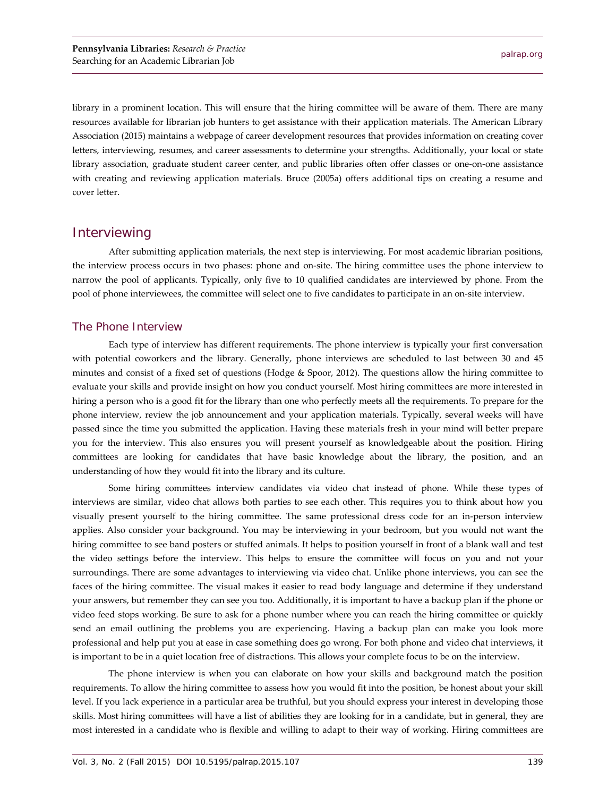library in a prominent location. This will ensure that the hiring committee will be aware of them. There are many resources available for librarian job hunters to get assistance with their application materials. The American Library Association (2015) maintains a webpage of career development resources that provides information on creating cover letters, interviewing, resumes, and career assessments to determine your strengths. Additionally, your local or state library association, graduate student career center, and public libraries often offer classes or one-on-one assistance with creating and reviewing application materials. Bruce (2005a) offers additional tips on creating a resume and cover letter.

#### **Interviewing**

After submitting application materials, the next step is interviewing. For most academic librarian positions, the interview process occurs in two phases: phone and on-site. The hiring committee uses the phone interview to narrow the pool of applicants. Typically, only five to 10 qualified candidates are interviewed by phone. From the pool of phone interviewees, the committee will select one to five candidates to participate in an on-site interview.

#### The Phone Interview

Each type of interview has different requirements. The phone interview is typically your first conversation with potential coworkers and the library. Generally, phone interviews are scheduled to last between 30 and 45 minutes and consist of a fixed set of questions (Hodge & Spoor, 2012). The questions allow the hiring committee to evaluate your skills and provide insight on how you conduct yourself. Most hiring committees are more interested in hiring a person who is a good fit for the library than one who perfectly meets all the requirements. To prepare for the phone interview, review the job announcement and your application materials. Typically, several weeks will have passed since the time you submitted the application. Having these materials fresh in your mind will better prepare you for the interview. This also ensures you will present yourself as knowledgeable about the position. Hiring committees are looking for candidates that have basic knowledge about the library, the position, and an understanding of how they would fit into the library and its culture.

Some hiring committees interview candidates via video chat instead of phone. While these types of interviews are similar, video chat allows both parties to see each other. This requires you to think about how you visually present yourself to the hiring committee. The same professional dress code for an in-person interview applies. Also consider your background. You may be interviewing in your bedroom, but you would not want the hiring committee to see band posters or stuffed animals. It helps to position yourself in front of a blank wall and test the video settings before the interview. This helps to ensure the committee will focus on you and not your surroundings. There are some advantages to interviewing via video chat. Unlike phone interviews, you can see the faces of the hiring committee. The visual makes it easier to read body language and determine if they understand your answers, but remember they can see you too. Additionally, it is important to have a backup plan if the phone or video feed stops working. Be sure to ask for a phone number where you can reach the hiring committee or quickly send an email outlining the problems you are experiencing. Having a backup plan can make you look more professional and help put you at ease in case something does go wrong. For both phone and video chat interviews, it is important to be in a quiet location free of distractions. This allows your complete focus to be on the interview.

The phone interview is when you can elaborate on how your skills and background match the position requirements. To allow the hiring committee to assess how you would fit into the position, be honest about your skill level. If you lack experience in a particular area be truthful, but you should express your interest in developing those skills. Most hiring committees will have a list of abilities they are looking for in a candidate, but in general, they are most interested in a candidate who is flexible and willing to adapt to their way of working. Hiring committees are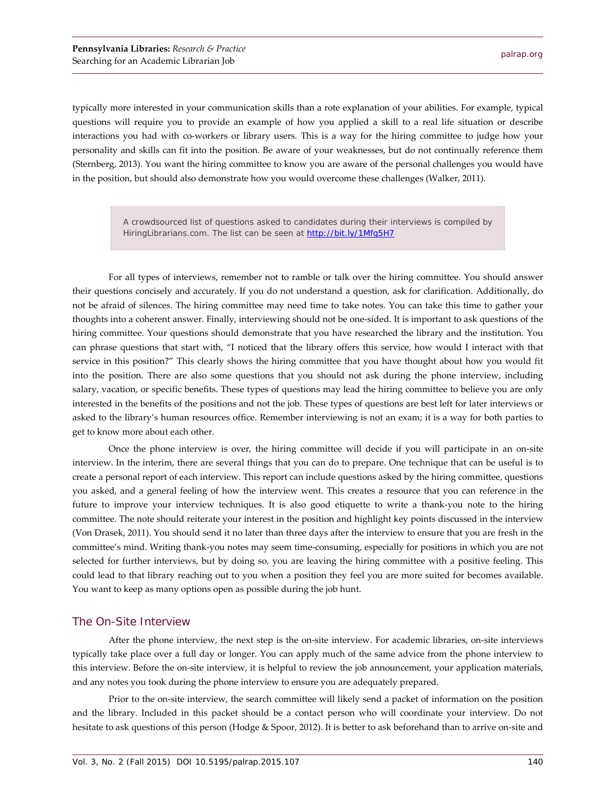typically more interested in your communication skills than a rote explanation of your abilities. For example, typical questions will require you to provide an example of how you applied a skill to a real life situation or describe interactions you had with co-workers or library users. This is a way for the hiring committee to judge how your personality and skills can fit into the position. Be aware of your weaknesses, but do not continually reference them (Sternberg, 2013). You want the hiring committee to know you are aware of the personal challenges you would have in the position, but should also demonstrate how you would overcome these challenges (Walker, 2011).

> A crowdsourced list of questions asked to candidates during their interviews is compiled by HiringLibrarians.com. The list can be seen at http://bit.ly/1Mfq5H7

For all types of interviews, remember not to ramble or talk over the hiring committee. You should answer their questions concisely and accurately. If you do not understand a question, ask for clarification. Additionally, do not be afraid of silences. The hiring committee may need time to take notes. You can take this time to gather your thoughts into a coherent answer. Finally, interviewing should not be one-sided. It is important to ask questions of the hiring committee. Your questions should demonstrate that you have researched the library and the institution. You can phrase questions that start with, "I noticed that the library offers this service, how would I interact with that service in this position?" This clearly shows the hiring committee that you have thought about how you would fit into the position. There are also some questions that you should not ask during the phone interview, including salary, vacation, or specific benefits. These types of questions may lead the hiring committee to believe you are only interested in the benefits of the positions and not the job. These types of questions are best left for later interviews or asked to the library's human resources office. Remember interviewing is not an exam; it is a way for both parties to get to know more about each other.

Once the phone interview is over, the hiring committee will decide if you will participate in an on-site interview. In the interim, there are several things that you can do to prepare. One technique that can be useful is to create a personal report of each interview. This report can include questions asked by the hiring committee, questions you asked, and a general feeling of how the interview went. This creates a resource that you can reference in the future to improve your interview techniques. It is also good etiquette to write a thank-you note to the hiring committee. The note should reiterate your interest in the position and highlight key points discussed in the interview (Von Drasek, 2011). You should send it no later than three days after the interview to ensure that you are fresh in the committee's mind. Writing thank-you notes may seem time-consuming, especially for positions in which you are not selected for further interviews, but by doing so, you are leaving the hiring committee with a positive feeling. This could lead to that library reaching out to you when a position they feel you are more suited for becomes available. You want to keep as many options open as possible during the job hunt.

#### The On-Site Interview

After the phone interview, the next step is the on-site interview. For academic libraries, on-site interviews typically take place over a full day or longer. You can apply much of the same advice from the phone interview to this interview. Before the on-site interview, it is helpful to review the job announcement, your application materials, and any notes you took during the phone interview to ensure you are adequately prepared.

Prior to the on-site interview, the search committee will likely send a packet of information on the position and the library. Included in this packet should be a contact person who will coordinate your interview. Do not hesitate to ask questions of this person (Hodge & Spoor, 2012). It is better to ask beforehand than to arrive on-site and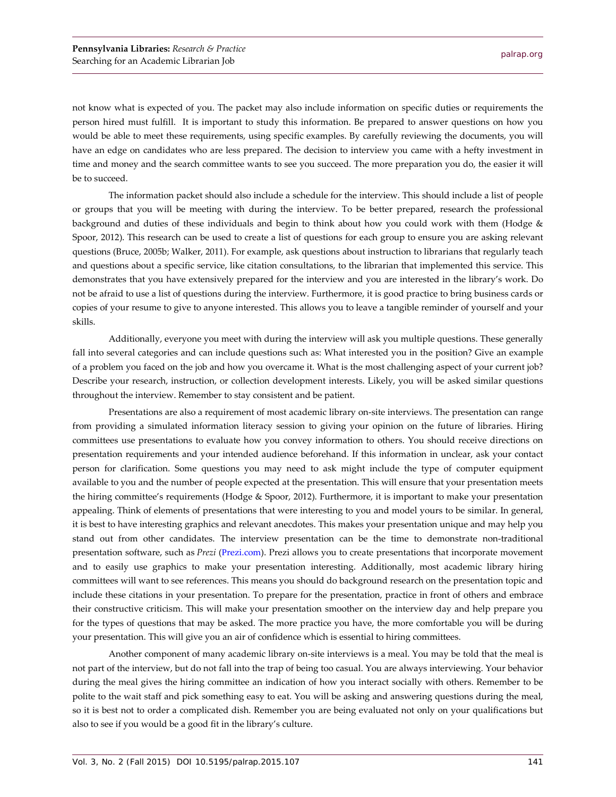not know what is expected of you. The packet may also include information on specific duties or requirements the person hired must fulfill. It is important to study this information. Be prepared to answer questions on how you would be able to meet these requirements, using specific examples. By carefully reviewing the documents, you will have an edge on candidates who are less prepared. The decision to interview you came with a hefty investment in time and money and the search committee wants to see you succeed. The more preparation you do, the easier it will be to succeed.

The information packet should also include a schedule for the interview. This should include a list of people or groups that you will be meeting with during the interview. To be better prepared, research the professional background and duties of these individuals and begin to think about how you could work with them (Hodge & Spoor, 2012). This research can be used to create a list of questions for each group to ensure you are asking relevant questions (Bruce, 2005b; Walker, 2011). For example, ask questions about instruction to librarians that regularly teach and questions about a specific service, like citation consultations, to the librarian that implemented this service. This demonstrates that you have extensively prepared for the interview and you are interested in the library's work. Do not be afraid to use a list of questions during the interview. Furthermore, it is good practice to bring business cards or copies of your resume to give to anyone interested. This allows you to leave a tangible reminder of yourself and your skills.

Additionally, everyone you meet with during the interview will ask you multiple questions. These generally fall into several categories and can include questions such as: What interested you in the position? Give an example of a problem you faced on the job and how you overcame it. What is the most challenging aspect of your current job? Describe your research, instruction, or collection development interests. Likely, you will be asked similar questions throughout the interview. Remember to stay consistent and be patient.

Presentations are also a requirement of most academic library on-site interviews. The presentation can range from providing a simulated information literacy session to giving your opinion on the future of libraries. Hiring committees use presentations to evaluate how you convey information to others. You should receive directions on presentation requirements and your intended audience beforehand. If this information in unclear, ask your contact person for clarification. Some questions you may need to ask might include the type of computer equipment available to you and the number of people expected at the presentation. This will ensure that your presentation meets the hiring committee's requirements (Hodge & Spoor, 2012). Furthermore, it is important to make your presentation appealing. Think of elements of presentations that were interesting to you and model yours to be similar. In general, it is best to have interesting graphics and relevant anecdotes. This makes your presentation unique and may help you stand out from other candidates. The interview presentation can be the time to demonstrate non-traditional presentation software, such as *Prezi* (P[rezi.com\)](http://www.prezi.com/). Prezi allows you to create presentations that incorporate movement and to easily use graphics to make your presentation interesting. Additionally, most academic library hiring committees will want to see references. This means you should do background research on the presentation topic and include these citations in your presentation. To prepare for the presentation, practice in front of others and embrace their constructive criticism. This will make your presentation smoother on the interview day and help prepare you for the types of questions that may be asked. The more practice you have, the more comfortable you will be during your presentation. This will give you an air of confidence which is essential to hiring committees.

Another component of many academic library on-site interviews is a meal. You may be told that the meal is not part of the interview, but do not fall into the trap of being too casual. You are always interviewing. Your behavior during the meal gives the hiring committee an indication of how you interact socially with others. Remember to be polite to the wait staff and pick something easy to eat. You will be asking and answering questions during the meal, so it is best not to order a complicated dish. Remember you are being evaluated not only on your qualifications but also to see if you would be a good fit in the library's culture.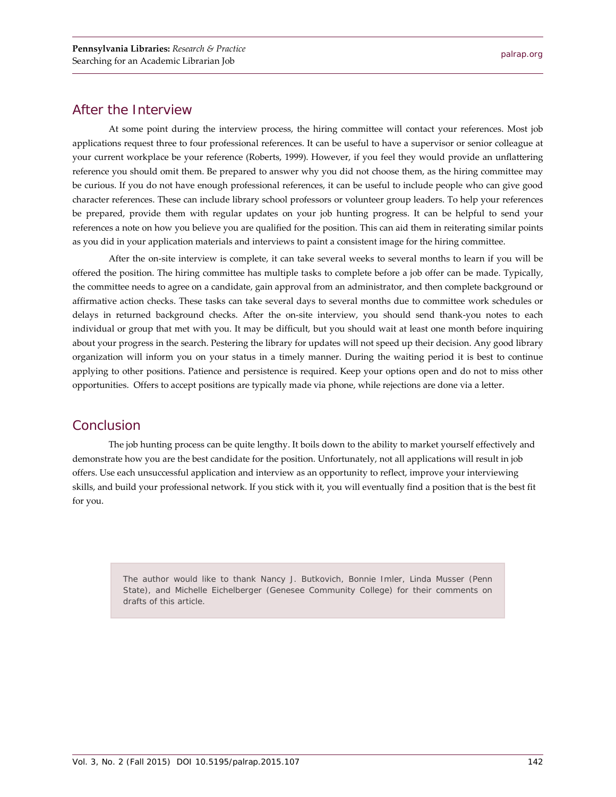#### After the Interview

At some point during the interview process, the hiring committee will contact your references. Most job applications request three to four professional references. It can be useful to have a supervisor or senior colleague at your current workplace be your reference (Roberts, 1999). However, if you feel they would provide an unflattering reference you should omit them. Be prepared to answer why you did not choose them, as the hiring committee may be curious. If you do not have enough professional references, it can be useful to include people who can give good character references. These can include library school professors or volunteer group leaders. To help your references be prepared, provide them with regular updates on your job hunting progress. It can be helpful to send your references a note on how you believe you are qualified for the position. This can aid them in reiterating similar points as you did in your application materials and interviews to paint a consistent image for the hiring committee.

After the on-site interview is complete, it can take several weeks to several months to learn if you will be offered the position. The hiring committee has multiple tasks to complete before a job offer can be made. Typically, the committee needs to agree on a candidate, gain approval from an administrator, and then complete background or affirmative action checks. These tasks can take several days to several months due to committee work schedules or delays in returned background checks. After the on-site interview, you should send thank-you notes to each individual or group that met with you. It may be difficult, but you should wait at least one month before inquiring about your progress in the search. Pestering the library for updates will not speed up their decision. Any good library organization will inform you on your status in a timely manner. During the waiting period it is best to continue applying to other positions. Patience and persistence is required. Keep your options open and do not to miss other opportunities. Offers to accept positions are typically made via phone, while rejections are done via a letter.

#### **Conclusion**

The job hunting process can be quite lengthy. It boils down to the ability to market yourself effectively and demonstrate how you are the best candidate for the position. Unfortunately, not all applications will result in job offers. Use each unsuccessful application and interview as an opportunity to reflect, improve your interviewing skills, and build your professional network. If you stick with it, you will eventually find a position that is the best fit for you.

> The author would like to thank Nancy J. Butkovich, Bonnie Imler, Linda Musser (Penn State), and Michelle Eichelberger (Genesee Community College) for their comments on drafts of this article.